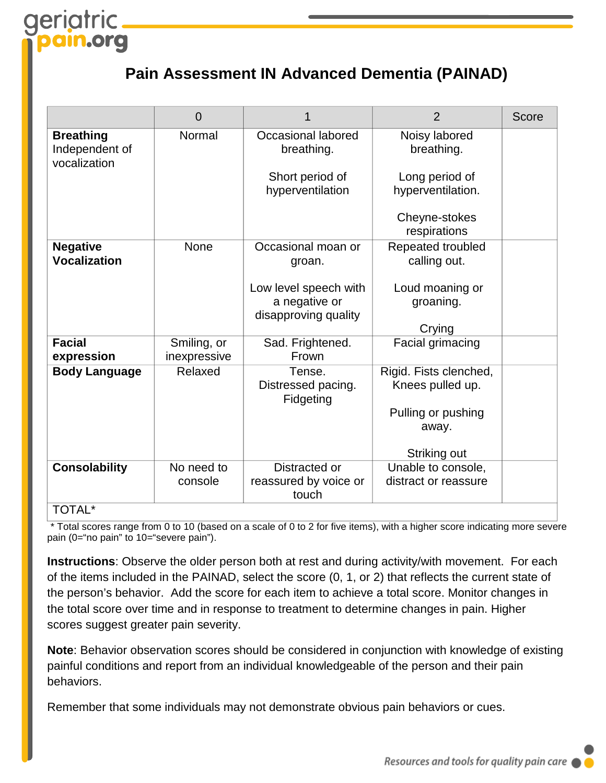# aeriatric .org

# **Pain Assessment IN Advanced Dementia (PAINAD)**

|                                                    | $\overline{0}$              |                                                                | $\overline{2}$                             | Score |
|----------------------------------------------------|-----------------------------|----------------------------------------------------------------|--------------------------------------------|-------|
| <b>Breathing</b><br>Independent of<br>vocalization | Normal                      | Occasional labored<br>breathing.                               | Noisy labored<br>breathing.                |       |
|                                                    |                             | Short period of<br>hyperventilation                            | Long period of<br>hyperventilation.        |       |
|                                                    |                             |                                                                | Cheyne-stokes<br>respirations              |       |
| <b>Negative</b><br><b>Vocalization</b>             | None                        | Occasional moan or<br>groan.                                   | Repeated troubled<br>calling out.          |       |
|                                                    |                             | Low level speech with<br>a negative or<br>disapproving quality | Loud moaning or<br>groaning.               |       |
|                                                    |                             |                                                                | Crying                                     |       |
| <b>Facial</b><br>expression                        | Smiling, or<br>inexpressive | Sad. Frightened.<br>Frown                                      | Facial grimacing                           |       |
| <b>Body Language</b>                               | Relaxed                     | Tense.<br>Distressed pacing.<br>Fidgeting                      | Rigid. Fists clenched,<br>Knees pulled up. |       |
|                                                    |                             |                                                                | Pulling or pushing<br>away.                |       |
|                                                    |                             |                                                                | Striking out                               |       |
| <b>Consolability</b>                               | No need to<br>console       | Distracted or<br>reassured by voice or<br>touch                | Unable to console,<br>distract or reassure |       |
| <b>TOTAL*</b>                                      |                             |                                                                |                                            |       |

#### TOTAL\*

Total scores range from 0 to 10 (based on a scale of 0 to 2 for five items), with a higher score indicating more severe pain (0="no pain" to 10="severe pain").

**Instructions**: Observe the older person both at rest and during activity/with movement. For each of the items included in the PAINAD, select the score (0, 1, or 2) that reflects the current state of the person's behavior. Add the score for each item to achieve a total score. Monitor changes in the total score over time and in response to treatment to determine changes in pain. Higher scores suggest greater pain severity.

**Note**: Behavior observation scores should be considered in conjunction with knowledge of existing painful conditions and report from an individual knowledgeable of the person and their pain behaviors.

Remember that some individuals may not demonstrate obvious pain behaviors or cues.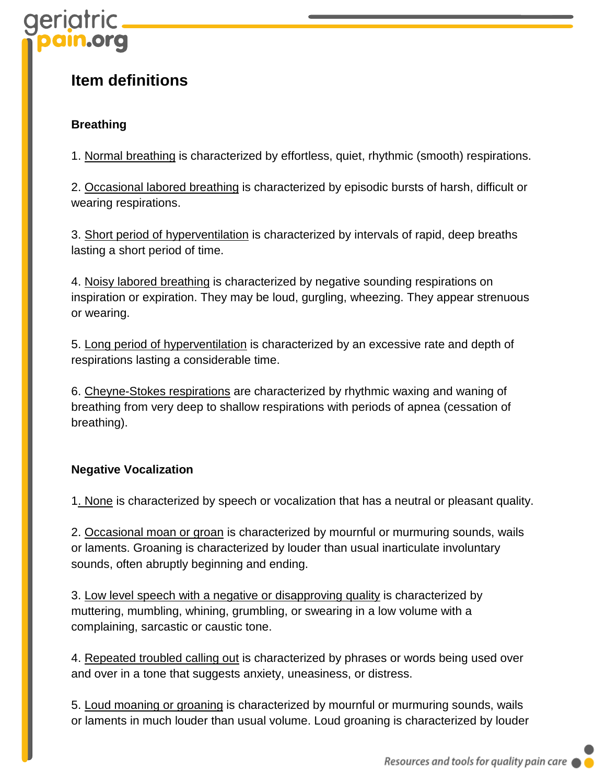# eriatric

## **Item definitions**

## **Breathing**

1. Normal breathing is characterized by effortless, quiet, rhythmic (smooth) respirations.

2. Occasional labored breathing is characterized by episodic bursts of harsh, difficult or wearing respirations.

3. Short period of hyperventilation is characterized by intervals of rapid, deep breaths lasting a short period of time.

4. Noisy labored breathing is characterized by negative sounding respirations on inspiration or expiration. They may be loud, gurgling, wheezing. They appear strenuous or wearing.

5. Long period of hyperventilation is characterized by an excessive rate and depth of respirations lasting a considerable time.

6. Cheyne-Stokes respirations are characterized by rhythmic waxing and waning of breathing from very deep to shallow respirations with periods of apnea (cessation of breathing).

### **Negative Vocalization**

1. None is characterized by speech or vocalization that has a neutral or pleasant quality.

2. Occasional moan or groan is characterized by mournful or murmuring sounds, wails or laments. Groaning is characterized by louder than usual inarticulate involuntary sounds, often abruptly beginning and ending.

3. Low level speech with a negative or disapproving quality is characterized by muttering, mumbling, whining, grumbling, or swearing in a low volume with a complaining, sarcastic or caustic tone.

4. Repeated troubled calling out is characterized by phrases or words being used over and over in a tone that suggests anxiety, uneasiness, or distress.

5. Loud moaning or groaning is characterized by mournful or murmuring sounds, wails or laments in much louder than usual volume. Loud groaning is characterized by louder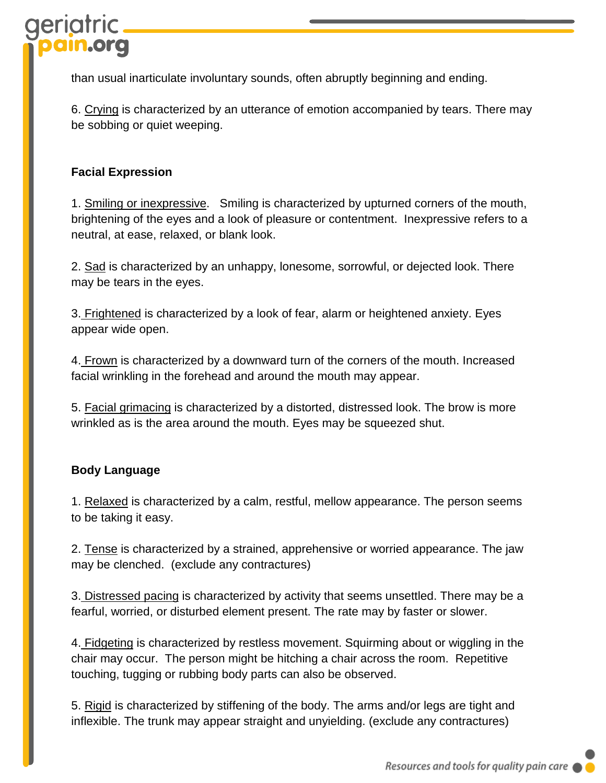than usual inarticulate involuntary sounds, often abruptly beginning and ending.

6. Crying is characterized by an utterance of emotion accompanied by tears. There may be sobbing or quiet weeping.

### **Facial Expression**

1. Smiling or inexpressive. Smiling is characterized by upturned corners of the mouth, brightening of the eyes and a look of pleasure or contentment. Inexpressive refers to a neutral, at ease, relaxed, or blank look.

2. Sad is characterized by an unhappy, lonesome, sorrowful, or dejected look. There may be tears in the eyes.

3. Frightened is characterized by a look of fear, alarm or heightened anxiety. Eyes appear wide open.

4. Frown is characterized by a downward turn of the corners of the mouth. Increased facial wrinkling in the forehead and around the mouth may appear.

5. Facial grimacing is characterized by a distorted, distressed look. The brow is more wrinkled as is the area around the mouth. Eyes may be squeezed shut.

### **Body Language**

1. Relaxed is characterized by a calm, restful, mellow appearance. The person seems to be taking it easy.

2. Tense is characterized by a strained, apprehensive or worried appearance. The jaw may be clenched. (exclude any contractures)

3. Distressed pacing is characterized by activity that seems unsettled. There may be a fearful, worried, or disturbed element present. The rate may by faster or slower.

4. Fidgeting is characterized by restless movement. Squirming about or wiggling in the chair may occur. The person might be hitching a chair across the room. Repetitive touching, tugging or rubbing body parts can also be observed.

5. Rigid is characterized by stiffening of the body. The arms and/or legs are tight and inflexible. The trunk may appear straight and unyielding. (exclude any contractures)